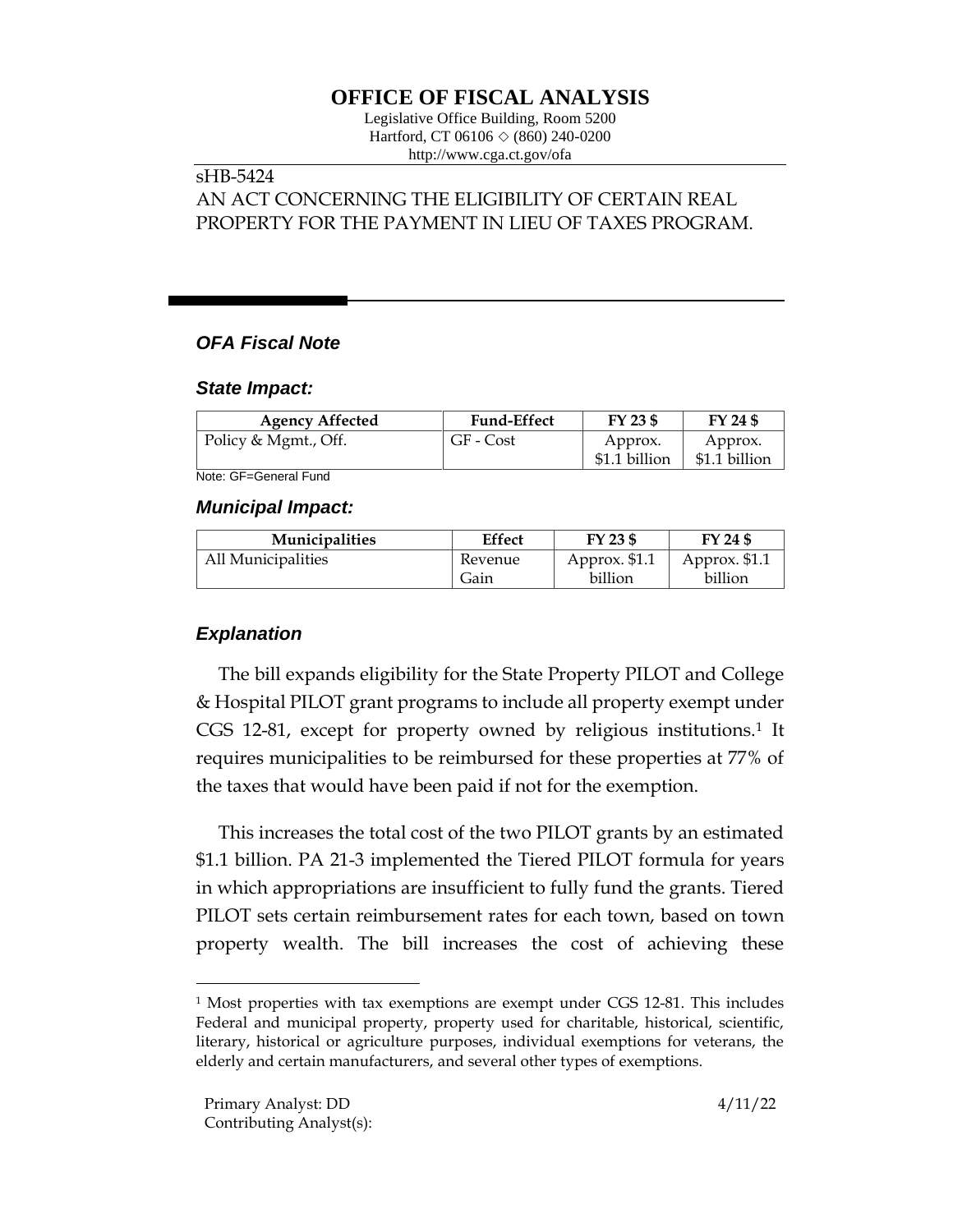# **OFFICE OF FISCAL ANALYSIS**

Legislative Office Building, Room 5200 Hartford, CT 06106  $\Diamond$  (860) 240-0200 http://www.cga.ct.gov/ofa

#### sHB-5424 AN ACT CONCERNING THE ELIGIBILITY OF CERTAIN REAL

PROPERTY FOR THE PAYMENT IN LIEU OF TAXES PROGRAM.

# *OFA Fiscal Note*

#### *State Impact:*

| <b>Agency Affected</b> | <b>Fund-Effect</b> | $FY$ 23 \$               | FY 24 \$                 |
|------------------------|--------------------|--------------------------|--------------------------|
| Policy & Mgmt., Off.   | GF - Cost          | Approx.<br>\$1.1 billion | Approx.<br>\$1.1 billion |

Note: GF=General Fund

### *Municipal Impact:*

| <b>Municipalities</b> | <b>Effect</b> | FY 23 \$      | FY 24 \$      |
|-----------------------|---------------|---------------|---------------|
| All Municipalities    | Revenue       | Approx. \$1.1 | Approx. \$1.1 |
|                       | Gain          | billion       | billion       |

# *Explanation*

The bill expands eligibility for the State Property PILOT and College & Hospital PILOT grant programs to include all property exempt under CGS 12-81, except for property owned by religious institutions.<sup>1</sup> It requires municipalities to be reimbursed for these properties at 77% of the taxes that would have been paid if not for the exemption.

This increases the total cost of the two PILOT grants by an estimated \$1.1 billion. PA 21-3 implemented the Tiered PILOT formula for years in which appropriations are insufficient to fully fund the grants. Tiered PILOT sets certain reimbursement rates for each town, based on town property wealth. The bill increases the cost of achieving these

<sup>1</sup> Most properties with tax exemptions are exempt under CGS 12-81. This includes Federal and municipal property, property used for charitable, historical, scientific, literary, historical or agriculture purposes, individual exemptions for veterans, the elderly and certain manufacturers, and several other types of exemptions.